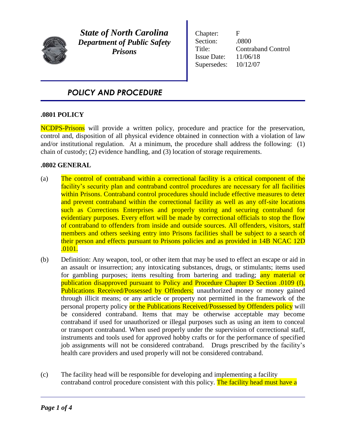

*State of North Carolina Department of Public Safety Prisons*

Chapter: F Section: .0800 Title: Contraband Control Issue Date: 11/06/18 Supersedes: 10/12/07

# *POLICY AND PROCEDURE*

## **.0801 POLICY**

NCDPS-Prisons will provide a written policy, procedure and practice for the preservation, control and, disposition of all physical evidence obtained in connection with a violation of law and/or institutional regulation. At a minimum, the procedure shall address the following: (1) chain of custody; (2) evidence handling, and (3) location of storage requirements.

## **.0802 GENERAL**

- (a) The control of contraband within a correctional facility is a critical component of the facility's security plan and contraband control procedures are necessary for all facilities within Prisons. Contraband control procedures should include effective measures to deter and prevent contraband within the correctional facility as well as any off-site locations such as Corrections Enterprises and properly storing and securing contraband for evidentiary purposes. Every effort will be made by correctional officials to stop the flow of contraband to offenders from inside and outside sources. All offenders, visitors, staff members and others seeking entry into Prisons facilities shall be subject to a search of their person and effects pursuant to Prisons policies and as provided in 14B NCAC 12D .0101.
- (b) Definition: Any weapon, tool, or other item that may be used to effect an escape or aid in an assault or insurrection; any intoxicating substances, drugs, or stimulants; items used for gambling purposes; items resulting from bartering and trading; any material or publication disapproved pursuant to Policy and Procedure Chapter D Section .0109 (f), Publications Received/Possessed by Offenders; unauthorized money or money gained through illicit means; or any article or property not permitted in the framework of the personal property policy or the Publications Received/Possessed by Offenders policy will be considered contraband. Items that may be otherwise acceptable may become contraband if used for unauthorized or illegal purposes such as using an item to conceal or transport contraband. When used properly under the supervision of correctional staff, instruments and tools used for approved hobby crafts or for the performance of specified job assignments will not be considered contraband. Drugs prescribed by the facility's health care providers and used properly will not be considered contraband.
- (c) The facility head will be responsible for developing and implementing a facility contraband control procedure consistent with this policy. The facility head must have a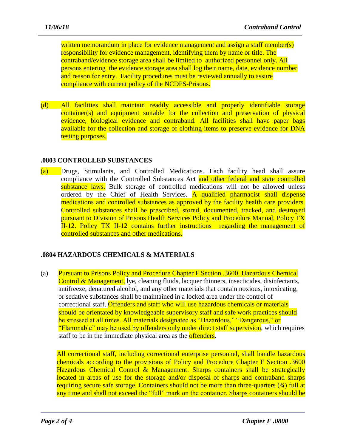written memorandum in place for evidence management and assign a staff member(s) responsibility for evidence management, identifying them by name or title. The contraband/evidence storage area shall be limited to authorized personnel only. All persons entering the evidence storage area shall log their name, date, evidence number and reason for entry. Facility procedures must be reviewed annually to assure compliance with current policy of the NCDPS-Prisons.

(d) All facilities shall maintain readily accessible and properly identifiable storage container(s) and equipment suitable for the collection and preservation of physical evidence, biological evidence and contraband. All facilities shall have paper bags available for the collection and storage of clothing items to preserve evidence for DNA testing purposes.

# **.0803 CONTROLLED SUBSTANCES**

(a) Drugs, Stimulants, and Controlled Medications. Each facility head shall assure compliance with the Controlled Substances Act and other federal and state controlled substance laws. Bulk storage of controlled medications will not be allowed unless ordered by the Chief of Health Services. A qualified pharmacist shall dispense medications and controlled substances as approved by the facility health care providers. Controlled substances shall be prescribed, stored, documented, tracked, and destroyed pursuant to Division of Prisons Health Services Policy and Procedure Manual, Policy TX II-12. Policy TX II-12 contains further instructions regarding the management of controlled substances and other medications.

# **.0804 HAZARDOUS CHEMICALS & MATERIALS**

(a) Pursuant to Prisons Policy and Procedure Chapter F Section .3600, Hazardous Chemical Control & Management, lye, cleaning fluids, lacquer thinners, insecticides, disinfectants, antifreeze, denatured alcohol, and any other materials that contain noxious, intoxicating, or sedative substances shall be maintained in a locked area under the control of correctional staff. Offenders and staff who will use hazardous chemicals or materials should be orientated by knowledgeable supervisory staff and safe work practices should be stressed at all times. All materials designated as "Hazardous," "Dangerous," or "Flammable" may be used by offenders only under direct staff supervision, which requires staff to be in the immediate physical area as the **offenders**.

All correctional staff, including correctional enterprise personnel, shall handle hazardous chemicals according to the provisions of Policy and Procedure Chapter F Section .3600 Hazardous Chemical Control & Management. Sharps containers shall be strategically located in areas of use for the storage and/or disposal of sharps and contraband sharps requiring secure safe storage. Containers should not be more than three-quarters (¾) full at any time and shall not exceed the "full" mark on the container. Sharps containers should be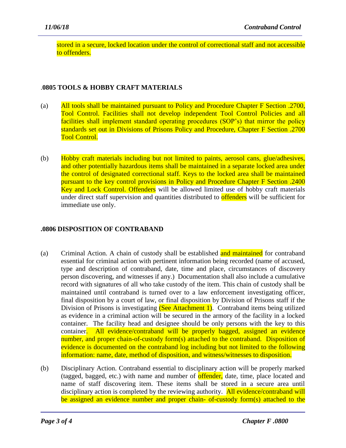stored in a secure, locked location under the control of correctional staff and not accessible to offenders.

# .**0805 TOOLS & HOBBY CRAFT MATERIALS**

- (a) All tools shall be maintained pursuant to Policy and Procedure Chapter F Section .2700, Tool Control. Facilities shall not develop independent Tool Control Policies and all facilities shall implement standard operating procedures (SOP's) that mirror the policy standards set out in Divisions of Prisons Policy and Procedure, Chapter F Section .2700 Tool Control.
- (b) Hobby craft materials including but not limited to paints, aerosol cans, glue/adhesives, and other potentially hazardous items shall be maintained in a separate locked area under the control of designated correctional staff. Keys to the locked area shall be maintained pursuant to the key control provisions in Policy and Procedure Chapter F Section .2400 Key and Lock Control. Offenders will be allowed limited use of hobby craft materials under direct staff supervision and quantities distributed to **offenders** will be sufficient for immediate use only.

# **.0806 DISPOSITION OF CONTRABAND**

- (a) Criminal Action. A chain of custody shall be established and maintained for contraband essential for criminal action with pertinent information being recorded (name of accused, type and description of contraband, date, time and place, circumstances of discovery person discovering, and witnesses if any.) Documentation shall also include a cumulative record with signatures of all who take custody of the item. This chain of custody shall be maintained until contraband is turned over to a law enforcement investigating officer, final disposition by a court of law, or final disposition by Division of Prisons staff if the Division of Prisons is investigating (See Attachment 1). Contraband items being utilized as evidence in a criminal action will be secured in the armory of the facility in a locked container. The facility head and designee should be only persons with the key to this container. All evidence/contraband will be properly bagged, assigned an evidence number, and proper chain-of-custody form(s) attached to the contraband. Disposition of evidence is documented on the contraband log including but not limited to the following information: name, date, method of disposition, and witness/witnesses to disposition.
- (b) Disciplinary Action. Contraband essential to disciplinary action will be properly marked (tagged, bagged, etc.) with name and number of **offender**, date, time, place located and name of staff discovering item. These items shall be stored in a secure area until disciplinary action is completed by the reviewing authority. All evidence/contraband will be assigned an evidence number and proper chain- of-custody form(s) attached to the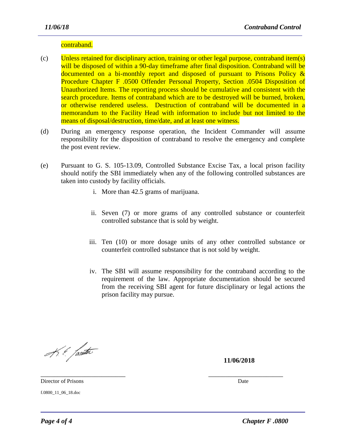#### contraband.

- (c) Unless retained for disciplinary action, training or other legal purpose, contraband item(s) will be disposed of within a 90-day timeframe after final disposition. Contraband will be documented on a bi-monthly report and disposed of pursuant to Prisons Policy & Procedure Chapter F .0500 Offender Personal Property, Section .0504 Disposition of Unauthorized Items. The reporting process should be cumulative and consistent with the search procedure. Items of contraband which are to be destroyed will be burned, broken, or otherwise rendered useless. Destruction of contraband will be documented in a memorandum to the Facility Head with information to include but not limited to the means of disposal/destruction, time/date, and at least one witness.
- (d) During an emergency response operation, the Incident Commander will assume responsibility for the disposition of contraband to resolve the emergency and complete the post event review.
- (e) Pursuant to G. S. 105-13.09, Controlled Substance Excise Tax, a local prison facility should notify the SBI immediately when any of the following controlled substances are taken into custody by facility officials.

- i. More than 42.5 grams of marijuana.
- ii. Seven (7) or more grams of any controlled substance or counterfeit controlled substance that is sold by weight.
- iii. Ten (10) or more dosage units of any other controlled substance or counterfeit controlled substance that is not sold by weight.
- iv. The SBI will assume responsibility for the contraband according to the requirement of the law. Appropriate documentation should be secured from the receiving SBI agent for future disciplinary or legal actions the prison facility may pursue.

K. & fanta

**11/06/2018**

\_\_\_\_\_\_\_\_\_\_\_\_\_\_\_\_\_\_\_\_\_\_\_\_\_ \_\_\_\_\_\_\_\_\_\_\_\_\_\_\_\_\_\_\_\_\_\_ Director of Prisons Date **Director** of Prisons Date **D** 

f.0800\_11\_06\_18.doc